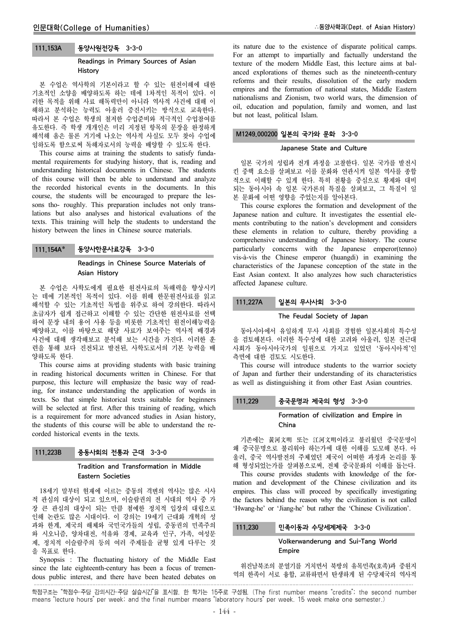#### 111.153A 동양사원전강독 3-3-0

### Readings in Primary Sources of Asian History

본 수업은 역사학의 기본이라고 할 수 있는 원전이해에 대한 기초적인 소양을 배양하도록 하는 데에 1차적인 목적이 있다. 이 러한 목적을 위해 사료 해독력만이 아니라 역사적 사건에 대해 이 해하고 분석하는 능력도 아울러 증진시키는 방식으로 교육한다. 따라서 본 수업은 학생의 철저한 수업준비와 적극적인 수업참여를 유도한다. 즉 학생 개개인은 미리 지정된 항목의 문장을 완정하게 해석해 옴은 물론 거기에 나오는 역사적 사실도 모두 찾아 수업에 임하도록 함으로써 독해자로서의 능력을 배양할 수 있도록 한다.

This course aims at training the students to satisfy fundamental requirements for studying history, that is, reading and understanding historical documents in Chinese. The students of this course will then be able to understand and analyze the recorded historical events in the documents. In this course, the students will be encouraged to prepare the lessons tho- roughly. This preparation includes not only translations but also analyses and historical evaluations of the texts. This training will help the students to understand the history between the lines in Chinese source materials.

# 111.154A\* 동양사한문사료강독 3-3-0

# Readings in Chinese Source Materials of Asian History

본 수업은 사학도에게 필요한 원전사료의 독해력을 향상시키 는 데에 기본적인 목적이 있다. 이를 위해 한문원전사료를 읽고 해석할 수 있는 기초적인 독법을 위주로 하여 강의한다. 따라서 초급자가 쉽게 접근하고 이해할 수 있는 간단한 원전사료를 선택 하여 문장 내의 용어 사용 등을 비롯한 기초적인 원전이해능력을 배양하고, 이를 바탕으로 해당 사료가 보여주는 역사적 배경과 사건에 대해 생각해보고 분석해 보는 시간을 가진다. 이러한 훈 련을 통해 보다 진전되고 발전된, 사학도로서의 기본 능력을 배 양하도록 한다.

This course aims at providing students with basic training in reading historical documents written in Chinese. For that purpose, this lecture will emphasize the basic way of reading, for instance understanding the application of words in texts. So that simple historical texts suitable for beginners will be selected at first. After this training of reading, which is a requirement for more advanced studies in Asian history, the students of this course will be able to understand the recorded historical events in the texts.

### 111.223B 중동사회의 전통과 근대 3-3-0

### Tradition and Transformation in Middle Eastern Societies

18세기 말부터 현재에 이르는 중동의 격변의 역사는 많은 시사 적 관심의 대상이 되고 있으며, 이슬람권의 전 시대의 역사 중 가 장 큰 관심의 대상이 되는 만큼 첨예한 정치적 입장의 대립으로 인해 논란도 많은 시대이다. 이 강의는 19세기 근대화 개혁의 성 과와 한계, 제국의 해체와 국민국가들의 성립, 중동권의 민족주의 와 시오니즘, 양차대전, 석유와 경제, 교육과 인구, 가족, 여성문 제, 정치적 이슬람주의 등의 여러 주제들을 균형 있게 다루는 것 을 목표로 한다.

Synopsis : The fluctuating history of the Middle East since the late eighteenth-century has been a focus of tremendous public interest, and there have been heated debates on

its nature due to the existence of disparate political camps. For an attempt to impartially and factually understand the texture of the modern Middle East, this lecture aims at balanced explorations of themes such as the nineteenth-century reforms and their results, dissolution of the early modern empires and the formation of national states, Middle Eastern nationalisms and Zionism, two world wars, the dimension of oil, education and population, family and women, and last but not least, political Islam.

# M1249.000200 일본의 국가와 문화 3-3-0

#### Japanese State and Culture

일본 국가의 성립과 전개 과정을 고찰한다. 일본 국가를 발전시 킨 중핵 요소를 살펴보고 이를 문화와 연관시켜 일본 역사를 종합 적으로 이해할 수 있게 한다. 특히 천황을 중심으로 황제와 대비 되는 동아시아 속 일본 국가론의 특질을 살펴보고, 그 특질이 일 본 문화에 어떤 영향을 주었는지를 알아본다.

This course explores the formation and development of the Japanese nation and culture. It investigates the essential elements contributing to the nation's development and considers these elements in relation to culture, thereby providing a comprehensive understanding of Japanese history. The course particularly concerns with the Japanese emperor(tenno) vis-à-vis the Chinese emperor (huangdi) in examining the characteristics of the Japanese conception of the state in the East Asian context. It also analyzes how such characteristics affected Japanese culture.

### 111.227A 일본의 무사사회 3-3-0

#### The Feudal Society of Japan

동아시아에서 유일하게 무사 사회를 경험한 일본사회의 특수성 을 검토해본다. 이러한 특수성에 대한 고려와 아울러, 일본 전근대 사회가 동아시아국가의 일원으로 가지고 있었던 '동아시아적'인 측면에 대한 검토도 시도한다.

This course will introduce students to the warrior society of Japan and further their understanding of its characteristics as well as distinguishing it from other East Asian countries.

# 111.229 중국문명과 제국의 형성 3-3-0

### Formation of civilization and Empire in China

기존에는 黃河文明 또는 江河文明이라고 불리웠던 중국문명이 왜 중국문명으로 불리워야 하는가에 대한 이해를 도모해 본다. 아 울러, 중국 역사발전의 주체였던 제국이 어떠한 과정과 논리를 통 해 형성되었는가를 살펴봄으로써, 전체 중국문화의 이해를 돕는다.

This course provides students with knowledge of the formation and development of the Chinese civilization and its empires. This class will proceed by specifically investigating the factors behind the reason why the civilization is not called 'Hwang-he' or 'Jiang-he' but rather the 'Chinese Civilization'.

### 111.230 민족이동과 수당세계제국 3-3-0

#### Volkerwanderung and Sui-Tang World **Empire**

위진남북조의 분열기를 거치면서 북방의 유목민족(호족)과 중원지 역의 한족이 서로 융합, 교류하면서 탄생하게 된 수당제국의 역사적

학점구조는 "학점수-주당 강의시간-주당 실습시간"을 표시함. 한 학기는 15주로 구성됨. (The first number means "credits"; the second number means "lecture hours" per week; and the final number means "laboratory hours" per week. 15 week make one semester.)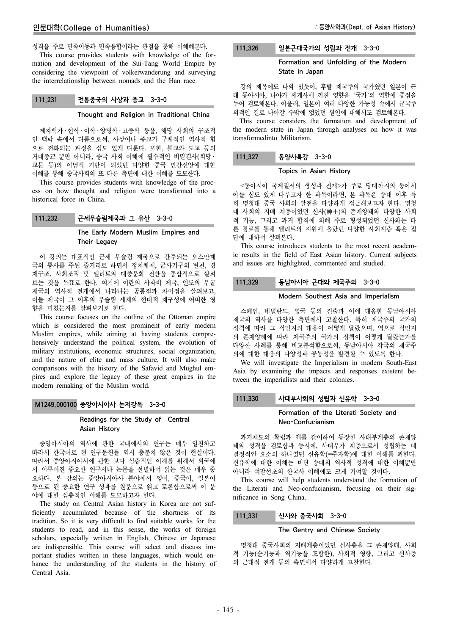성격을 주로 민족이동과 민족융합이라는 관점을 통해 이해해본다.

This course provides students with knowledge of the formation and development of the Sui-Tang World Empire by considering the viewpoint of volkerwanderung and surveying the interrelationship between nomads and the Han race.

### 111.231 전통중국의 사상과 종교 3-3-0

#### Thought and Religion in Traditional China

제자백가 ․ 현학 ․ 이학 ․ 양명학 ․ 고증학 등을, 해당 사회의 구조적 인 맥락 속에서 다룸으로써, 사상이나 종교가 구체적인 역사적 힘 으로 전화되는 과정을 심도 있게 다룬다. 또한, 불교와 도교 등의 거대종교 뿐만 아니라, 중국 사회 이해에 필수적인 비밀결사(회당 ․ 교문 등)의 이념적 기반이 되었던 다양한 중국 민간신앙에 대한 이해를 통해 중국사회의 또 다른 측면에 대한 이해를 도모한다.

This course provides students with knowledge of the process on how thought and religion were transformed into a historical force in China.

# 111.232 근세무슬림제국과 그 유산 3-3-0

# The Early Modern Muslim Empires and Their Legacy

이 강의는 대표적인 근세 무슬림 제국으로 간주되는 오스만제 국의 통사를 주된 줄거리로 하면서 정치체제, 군사기구의 변천, 경 제구조, 사회조직 및 엘리트와 대중문화 전반을 종합적으로 살펴 보는 것을 목표로 한다. 여기에 이란의 사파비 제국, 인도의 무굴 제국의 역사적 전개에서 나타나는 공통점과 차이점을 살펴보고, 이들 제국이 그 이후의 무슬림 세계의 현대적 재구성에 어떠한 영 향을 미쳤는지를 살펴보기로 한다.

This course focuses on the outline of the Ottoman empire which is considered the most prominent of early modern Muslim empires, while aiming at having students comprehensively understand the political system, the evolution of military institutions, economic structures, social organization, and the nature of elite and mass culture. It will also make comparisons with the history of the Safavid and Mughul empires and explore the legacy of these great empires in the modern remaking of the Muslim world.

# M1249.000100 중앙아시아사 논저강독 3-3-0

# Readings for the Study of Central Asian History

중앙아시아의 역사에 관한 국내에서의 연구는 매우 일천하고 따라서 한국어로 된 연구문헌들 역시 충분치 않은 것이 현실이다. 따라서 중앙아시아사에 관한 보다 심층적인 이해를 위해서 외국에 서 이루어진 중요한 연구서나 논문을 선별하여 읽는 것은 매우 중 요하다. 본 강의는 중앙아시아사 분야에서 영어, 중국어, 일본어 등으로 된 중요한 연구 성과를 원문으로 읽고 토론함으로써 이 분 야에 대한 심층적인 이해를 도모하고자 한다.

The study on Central Asian history in Korea are not sufficiently accumulated because of the shortness of its tradition. So it is very difficult to find suitable works for the students to read, and in this sense, the works of foreign scholars, especially written in English, Chinese or Japanese are indispensible. This course will select and discuss important studies written in these languages, which would enhance the understanding of the students in the history of Central Asia.

# 111.326 일본근대국가의 성립과 전개 3-3-0

### Formation and Unfolding of the Modern State in Japan

강의 제목에도 나와 있듯이, 후발 제국주의 국가였던 일본이 근 대 동아시아, 나아가 세계사에 끼친 영향을 '국가'의 역할에 중점을 두어 검토해본다. 아울러, 일본이 여러 다양한 가능성 속에서 군국주 의적인 길로 나아갈 수밖에 없었던 원인에 대해서도 검토해본다.

This course considers the formation and development of the modern state in Japan through analyses on how it was transformedinto Militarism.

# 111.327 동양사특강 3-3-0

### Topics in Asian History

<동아시아 국제질서의 형성과 전개>가 주로 당대까지의 동아시 아를 심도 있게 다루고자 한 과목이라면, 본 과목은 송대 이후 특 히 명청대 중국 사회의 발전을 다양하게 접근해보고자 한다. 명청 대 사회의 지배 계층이었던 신사(紳士)의 존재양태와 다양한 사회 적 기능, 그리고 과거 합격에 의해 주로 형성되었던 신사와는 다 른 경로를 통해 엘리트의 지위에 올랐던 다양한 사회계층 혹은 집 단에 대하여 살펴본다.

This course introduces students to the most recent academic results in the field of East Asian history. Current subjects and issues are highlighted, commented and studied.

# 111.329 동남아시아 근대와 제국주의 3-3-0

#### Modern Southest Asia and Imperialism

스페인, 네덜란드, 영국 등의 진출과 이에 대응한 동남아시아 제국의 역사를 다양한 측면에서 고찰한다. 특히 제국주의 국가의 성격에 따라 그 식민지의 대응이 어떻게 달랐으며, 역으로 식민지 의 존재양태에 따라 제국주의 국가의 정책이 어떻게 달랐는가를 다양한 사례를 통해 비교분석함으로써, 동남아시아 각국의 제국주 의에 대한 대응의 다양성과 공통성을 발견할 수 있도록 한다.

We will investigate the Imperialism in modern South-East Asia by examining the impacts and responses existent between the imperialists and their colonies.

# 111.330 사대부사회의 성립과 신유학 3-3-0

### Formation of the Literati Society and Neo-Confucianism

과거제도의 확립과 궤를 같이하여 등장한 사대부계층의 존재양 태와 성격을 검토함과 동시에, 사대부가 계층으로서 성립하는 데 결정적인 요소의 하나였던 신유학(=주자학)에 대한 이해를 꾀한다. 신유학에 대한 이해는 비단 송대의 역사적 성격에 대한 이해뿐만 아니라 여말선초의 한국사 이해에도 크게 기여할 것이다.

This course will help students understand the formation of the Literati and Neo-confucianism, focusing on their significance in Song China.

### 111.331 신사와 중국사회 3-3-0

#### The Gentry and Chinese Society

명청대 중국사회의 지배계층이었던 신사층을 그 존재양태, 사회 적 기능(순기능과 역기능을 포함한), 사회적 영향, 그리고 신사층 의 근대적 전개 등의 측면에서 다양하게 고찰한다.